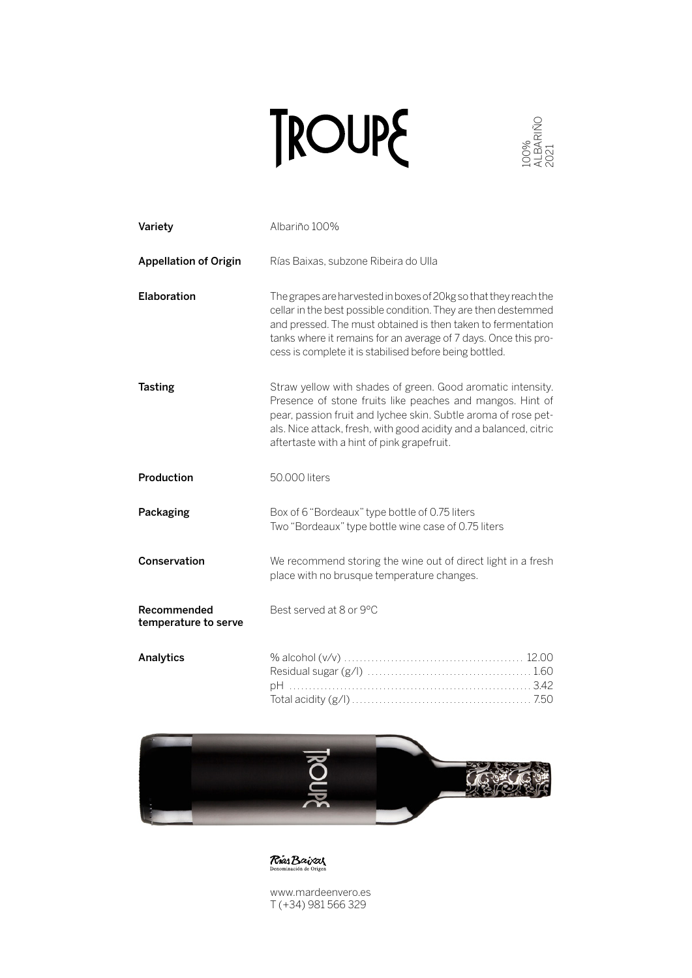

|                                     | <b>ROUP&amp;</b>                                                                                                                                                                                                                                                                                                                 |  |
|-------------------------------------|----------------------------------------------------------------------------------------------------------------------------------------------------------------------------------------------------------------------------------------------------------------------------------------------------------------------------------|--|
| Variety                             | Albariño 100%                                                                                                                                                                                                                                                                                                                    |  |
| <b>Appellation of Origin</b>        | Rías Baixas, subzone Ribeira do Ulla                                                                                                                                                                                                                                                                                             |  |
| <b>Elaboration</b>                  | The grapes are harvested in boxes of 20kg so that they reach the<br>cellar in the best possible condition. They are then destemmed<br>and pressed. The must obtained is then taken to fermentation<br>tanks where it remains for an average of 7 days. Once this pro-<br>cess is complete it is stabilised before being bottled. |  |
| <b>Tasting</b>                      | Straw yellow with shades of green. Good aromatic intensity.<br>Presence of stone fruits like peaches and mangos. Hint of<br>pear, passion fruit and lychee skin. Subtle aroma of rose pet-<br>als. Nice attack, fresh, with good acidity and a balanced, citric<br>aftertaste with a hint of pink grapefruit.                    |  |
| Production                          | 50.000 liters                                                                                                                                                                                                                                                                                                                    |  |
| Packaging                           | Box of 6 "Bordeaux" type bottle of 0.75 liters<br>Two "Bordeaux" type bottle wine case of 0.75 liters                                                                                                                                                                                                                            |  |
| Conservation                        | We recommend storing the wine out of direct light in a fresh<br>place with no brusque temperature changes.                                                                                                                                                                                                                       |  |
| Recommended<br>temperature to serve | Best served at 8 or 9°C                                                                                                                                                                                                                                                                                                          |  |
| Analytics                           |                                                                                                                                                                                                                                                                                                                                  |  |





www.mardeenvero.es T (+34) 981 566 329